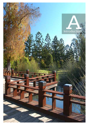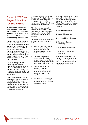# **Ipswich 2020 and Beyond is a Plan for the Future.**

In realising the changes that lay ahead for the city, the Ipswich community and Ipswich City Council have come together to prepare this roadmap for the future.

Located 40km west of Brisbane, Ipswich is one of the fastest growing sub-regions of South East Queensland. It is expected that the current population of 135 000 residents will grow by an additional 180 000 people over the next 20 years. In just 10 years time, the population will be almost double what it is now and 50% of the population will be relatively new to the area.

This population growth will demand more employment opportunities, improved transport networks, effective land use planning and major infrastructure investment, whilst maintaining the existing environmental assets and community spirit.

For the purposes of this plan, the term 'Ipswich' relates to all those communities within the Ipswich local government area. Ipswich is not a traditional city with a single centre. It is an extensive area, a sub-region in its own right, made up of many communities,

surrounded by rural and natural landscapes. The city is set to play a major role in servicing and supporting the South East Queensland Western Corridor and adjacent local governments.

This plan charts a course to achieve a 'Vision' for the future. The Vision has been developed through extensive consultation and dialogue with many local residents.

The four questions that have been considered by the community include:

- i. Where are we now? What is the current status of Ipswich and what are the current community values that we want to build upon.
- ii. Where are we going? If Ipswich continues along current trends what can be the expected consequences of the anticipated population growth.
- iii. Where do we want to be? What do we want the community to look and feel like in the years beyond 2020? What is the Vision for the future?
- iv. How do we get there? What are the actions that need to be undertaken in order to achieve the desired Vision.

This Vision outlined in this Plan is a reflection of the values held by the Ipswich community and the aspirations they have for the future. From the Vision Statement six central Themes have been derived:-

- $\triangleright$  Natural Environment
- $\triangleright$  Growth Management
- Ø A Strong Diverse Economy
- $\triangleright$  Community Spirit and **Wellbeing**
- $\triangleright$  Infrastructure and Services
- $\triangleright$  Integrated Transport and Movement

The Vision is a picture of the community in 20 years time and these Themes are the building blocks for the preparation of the suggested Implementation Framework.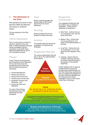## **1. The Elements of the Plan**

The general structure of the Ipswich 2020 and Beyond document is outlined below.

The key elements of the Plan include:-

## Vision Statement

This is a word picture of what we will see in Ipswich in the year 2026. It reflects feedback received during consultation and the comments on the Draft Vision Statement distributed as part of the consultation process.

## Theme

These Themes are threads that flow through the Vision Statement. The six key themes are the foundations around which this Plan for 2020 and beyond is developed:

- $\triangleright$  Growth Management,
- $\triangleright$  Natural Environment.
- $\triangleright$  Strong Diverse Economy,
- $\triangleright$  Infrastructure and Services,
- $\triangleright$  Integrated Transport and Movement, and
- $\triangleright$  Community Spirit and Wellbeing.

For each of the Themes, the following Action Plan framework has been developed.

### Goal

Broad overarching goals that directly relate to the Theme derived from the Vision Statement.

## Strategy

Broad principles that can be adopted to achieve the Goal.

## Actions

The specific tasks that should be undertaken to implement the Strategies.

## Suggested Partners

The various stakeholders that will play a role in the implementation of the Actions.



**Themes** Eg. Natural Environment

## Suggested Timeframes

The suggested timeframes that the actions may be initiated or undertaken. There are four categories of timeframes:-

- $\triangleright$  Short Term Actions that can be considered in the next five years of the Plan.
- $\triangleright$  Medium Term Actions that can be considered in 5-10 years of the implementation of the Plan.
- $\triangleright$  Long Term Actions that can be considered in 10 or more years from the adoption of the Plan.
- $\triangleright$  Ongoing Actions that are currently underway and may be further enhanced based on the direction of the Ipswich 2020 Plan.

Further detailed work is required to determine the process for monitoring the implementation of this Plan. Monitoring mechanisms such as Targets and Indicators of Success should be identified and the measurement of these undertaken as part of the review of this Plan in the future.

### **Goals**

Eg. Ipswich has a rich, biologically diverse and attractive natural environment

#### **Suggested Implementation Framework** Eg. Protection and Enhancement of Environmental Assets - Continue to implement Enviroplan

### **Targets and Indicators of Success**

Eg. Percentage of the total land area of Ipswich is designated to the protection of environmental values